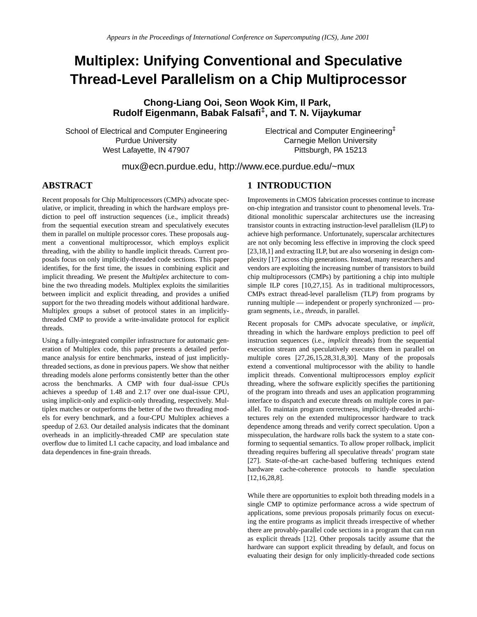# **Multiplex: Unifying Conventional and Speculative Thread-Level Parallelism on a Chip Multiprocessor**

**Chong-Liang Ooi, Seon Wook Kim, Il Park, Rudolf Eigenmann, Babak Falsafi‡, and T. N. Vijaykumar**

School of Electrical and Computer Engineering Purdue University West Lafayette, IN 47907

Electrical and Computer Engineering‡ Carnegie Mellon University Pittsburgh, PA 15213

mux@ecn.purdue.edu, http://www.ece.purdue.edu/~mux

## **ABSTRACT**

Recent proposals for Chip Multiprocessors (CMPs) advocate speculative, or implicit, threading in which the hardware employs prediction to peel off instruction sequences (i.e., implicit threads) from the sequential execution stream and speculatively executes them in parallel on multiple processor cores. These proposals augment a conventional multiprocessor, which employs explicit threading, with the ability to handle implicit threads. Current proposals focus on only implicitly-threaded code sections. This paper identifies, for the first time, the issues in combining explicit and implicit threading. We present the *Multiplex* architecture to combine the two threading models. Multiplex exploits the similarities between implicit and explicit threading, and provides a unified support for the two threading models without additional hardware. Multiplex groups a subset of protocol states in an implicitlythreaded CMP to provide a write-invalidate protocol for explicit threads.

Using a fully-integrated compiler infrastructure for automatic generation of Multiplex code, this paper presents a detailed performance analysis for entire benchmarks, instead of just implicitlythreaded sections, as done in previous papers. We show that neither threading models alone performs consistently better than the other across the benchmarks. A CMP with four dual-issue CPUs achieves a speedup of 1.48 and 2.17 over one dual-issue CPU, using implicit-only and explicit-only threading, respectively. Multiplex matches or outperforms the better of the two threading models for every benchmark, and a four-CPU Multiplex achieves a speedup of 2.63. Our detailed analysis indicates that the dominant overheads in an implicitly-threaded CMP are speculation state overflow due to limited L1 cache capacity, and load imbalance and data dependences in fine-grain threads.

#### **1 INTRODUCTION**

Improvements in CMOS fabrication processes continue to increase on-chip integration and transistor count to phenomenal levels. Traditional monolithic superscalar architectures use the increasing transistor counts in extracting instruction-level parallelism (ILP) to achieve high performance. Unfortunately, superscalar architectures are not only becoming less effective in improving the clock speed [23,18,1] and extracting ILP, but are also worsening in design complexity [17] across chip generations. Instead, many researchers and vendors are exploiting the increasing number of transistors to build chip multiprocessors (CMPs) by partitioning a chip into multiple simple ILP cores [10,27,15]. As in traditional multiprocessors, CMPs extract thread-level parallelism (TLP) from programs by running multiple — independent or properly synchronized — program segments, i.e., *threads*, in parallel.

Recent proposals for CMPs advocate speculative, or *implicit*, threading in which the hardware employs prediction to peel off instruction sequences (i.e., *implicit* threads) from the sequential execution stream and speculatively executes them in parallel on multiple cores [27,26,15,28,31,8,30]. Many of the proposals extend a conventional multiprocessor with the ability to handle implicit threads. Conventional multiprocessors employ *explicit* threading, where the software explicitly specifies the partitioning of the program into threads and uses an application programming interface to dispatch and execute threads on multiple cores in parallel. To maintain program correctness, implicitly-threaded architectures rely on the extended multiprocessor hardware to track dependence among threads and verify correct speculation. Upon a misspeculation, the hardware rolls back the system to a state conforming to sequential semantics. To allow proper rollback, implicit threading requires buffering all speculative threads' program state [27]. State-of-the-art cache-based buffering techniques extend hardware cache-coherence protocols to handle speculation [12,16,28,8].

While there are opportunities to exploit both threading models in a single CMP to optimize performance across a wide spectrum of applications, some previous proposals primarily focus on executing the entire programs as implicit threads irrespective of whether there are provably-parallel code sections in a program that can run as explicit threads [12]. Other proposals tacitly assume that the hardware can support explicit threading by default, and focus on evaluating their design for only implicitly-threaded code sections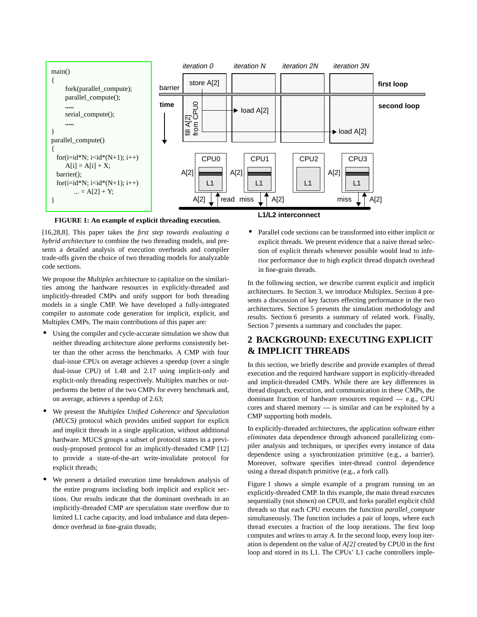

**FIGURE 1: An example of explicit threading execution.**

[16,28,8]. This paper takes the *first step towards evaluating a hybrid architecture* to combine the two threading models, and presents a detailed analysis of execution overheads and compiler trade-offs given the choice of two threading models for analyzable code sections.

We propose the *Multiplex* architecture to capitalize on the similarities among the hardware resources in explicitly-threaded and implicitly-threaded CMPs and unify support for both threading models in a single CMP. We have developed a fully-integrated compiler to automate code generation for implicit, explicit, and Multiplex CMPs. The main contributions of this paper are:

- **•** Using the compiler and cycle-accurate simulation we show that neither threading architecture alone performs consistently better than the other across the benchmarks. A CMP with four dual-issue CPUs on average achieves a speedup (over a single dual-issue CPU) of 1.48 and 2.17 using implicit-only and explicit-only threading respectively. Multiplex matches or outperforms the better of the two CMPs for every benchmark and, on average, achieves a speedup of 2.63;
- **•** We present the *Multiplex Unified Coherence and Speculation (MUCS)* protocol which provides unified support for explicit and implicit threads in a single application, without additional hardware. MUCS groups a subset of protocol states in a previously-proposed protocol for an implicitly-threaded CMP [12] to provide a state-of-the-art write-invalidate protocol for explicit threads;
- **•** We present a detailed execution time breakdown analysis of the entire programs including both implicit and explicit sections. Our results indicate that the dominant overheads in an implicitly-threaded CMP are speculation state overflow due to limited L1 cache capacity, and load imbalance and data dependence overhead in fine-grain threads;

**L1/L2 interconnect**

**•** Parallel code sections can be transformed into either implicit or explicit threads. We present evidence that a naive thread selection of explicit threads whenever possible would lead to inferior performance due to high explicit thread dispatch overhead in fine-grain threads.

In the following section, we describe current explicit and implicit architectures. In Section 3, we introduce Multiplex. Section 4 presents a discussion of key factors effecting performance in the two architectures. Section 5 presents the simulation methodology and results. Section 6 presents a summary of related work. Finally, Section 7 presents a summary and concludes the paper.

# **2 BACKGROUND: EXECUTING EXPLICIT & IMPLICIT THREADS**

In this section, we briefly describe and provide examples of thread execution and the required hardware support in explicitly-threaded and implicit-threaded CMPs. While there are key differences in thread dispatch, execution, and communication in these CMPs, the dominant fraction of hardware resources required — e.g., CPU cores and shared memory — is similar and can be exploited by a CMP supporting both models.

In explicitly-threaded architectures, the application software either *eliminates* data dependence through advanced parallelizing compiler analysis and techniques, or *specifies* every instance of data dependence using a synchronization primitive (e.g., a barrier). Moreover, software specifies inter-thread control dependence using a thread dispatch primitive (e.g., a fork call).

Figure 1 shows a simple example of a program running on an explicitly-threaded CMP. In this example, the main thread executes sequentially (not shown) on CPU0, and forks parallel explicit child threads so that each CPU executes the function *parallel\_compute* simultaneously. The function includes a pair of loops, where each thread executes a fraction of the loop iterations. The first loop computes and writes to array *A*. In the second loop, every loop iteration is dependent on the value of *A[2]* created by CPU0 in the first loop and stored in its L1. The CPUs' L1 cache controllers imple-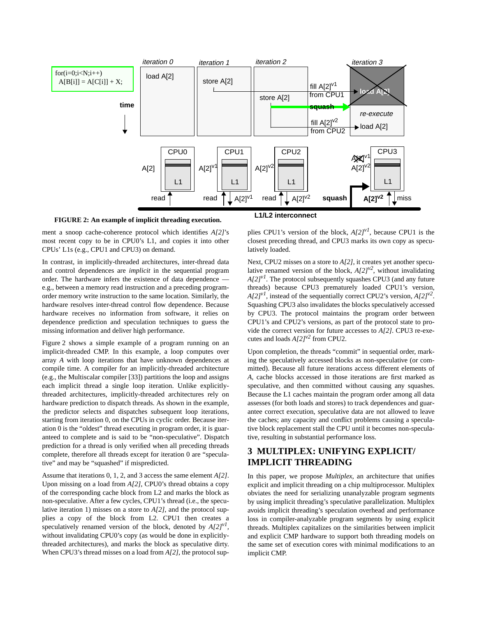

**FIGURE 2: An example of implicit threading execution.**

ment a snoop cache-coherence protocol which identifies *A[2]*'s most recent copy to be in CPU0's L1, and copies it into other CPUs' L1s (e.g., CPU1 and CPU3) on demand.

In contrast, in implicitly-threaded architectures, inter-thread data and control dependences are *implicit* in the sequential program order. The hardware infers the existence of data dependence e.g., between a memory read instruction and a preceding programorder memory write instruction to the same location. Similarly, the hardware resolves inter-thread control flow dependence. Because hardware receives no information from software, it relies on dependence prediction and speculation techniques to guess the missing information and deliver high performance.

Figure 2 shows a simple example of a program running on an implicit-threaded CMP. In this example, a loop computes over array *A* with loop iterations that have unknown dependences at compile time. A compiler for an implicitly-threaded architecture (e.g., the Multiscalar compiler [33]) partitions the loop and assigns each implicit thread a single loop iteration. Unlike explicitlythreaded architectures, implicitly-threaded architectures rely on hardware prediction to dispatch threads. As shown in the example, the predictor selects and dispatches subsequent loop iterations, starting from iteration 0, on the CPUs in cyclic order. Because iteration 0 is the "oldest" thread executing in program order, it is guaranteed to complete and is said to be "non-speculative". Dispatch prediction for a thread is only verified when all preceding threads complete, therefore all threads except for iteration 0 are "speculative" and may be "squashed" if mispredicted.

Assume that iterations 0, 1, 2, and 3 access the same element *A[2]*. Upon missing on a load from *A[2]*, CPU0's thread obtains a copy of the corresponding cache block from L2 and marks the block as non-speculative. After a few cycles, CPU1's thread (i.e., the speculative iteration 1) misses on a store to *A[2]*, and the protocol supplies a copy of the block from L2. CPU1 then creates a speculatively renamed version of the block, denoted by  $A[2]^{y}$ , without invalidating CPU0's copy (as would be done in explicitlythreaded architectures), and marks the block as speculative dirty. When CPU3's thread misses on a load from *A[2]*, the protocol sup**L1/L2 interconnect**

plies CPU1's version of the block,  $A/2J^{vI}$ , because CPU1 is the closest preceding thread, and CPU3 marks its own copy as speculatively loaded.

Next, CPU2 misses on a store to *A[2]*, it creates yet another speculative renamed version of the block,  $A[2]^{v^2}$ , without invalidating *A[2]v1*. The protocol subsequently squashes CPU3 (and any future threads) because CPU3 prematurely loaded CPU1's version,  $A[2]^{vI}$ , instead of the sequentially correct CPU2's version,  $A[2]^{v2}$ . Squashing CPU3 also invalidates the blocks speculatively accessed by CPU3. The protocol maintains the program order between CPU1's and CPU2's versions, as part of the protocol state to provide the correct version for future accesses to *A[2]*. CPU3 re-executes and loads  $A/2$ <sup>v2</sup> from CPU2.

Upon completion, the threads "commit" in sequential order, marking the speculatively accessed blocks as non-speculative (or committed). Because all future iterations access different elements of *A*, cache blocks accessed in those iterations are first marked as speculative, and then committed without causing any squashes. Because the L1 caches maintain the program order among all data assesses (for both loads and stores) to track dependences and guarantee correct execution, speculative data are not allowed to leave the caches; any capacity and conflict problems causing a speculative block replacement stall the CPU until it becomes non-speculative, resulting in substantial performance loss.

# **3 MULTIPLEX: UNIFYING EXPLICIT/ IMPLICIT THREADING**

In this paper, we propose *Multiplex*, an architecture that unifies explicit and implicit threading on a chip multiprocessor. Multiplex obviates the need for serializing unanalyzable program segments by using implicit threading's speculative parallelization. Multiplex avoids implicit threading's speculation overhead and performance loss in compiler-analyzable program segments by using explicit threads. Multiplex capitalizes on the similarities between implicit and explicit CMP hardware to support both threading models on the same set of execution cores with minimal modifications to an implicit CMP.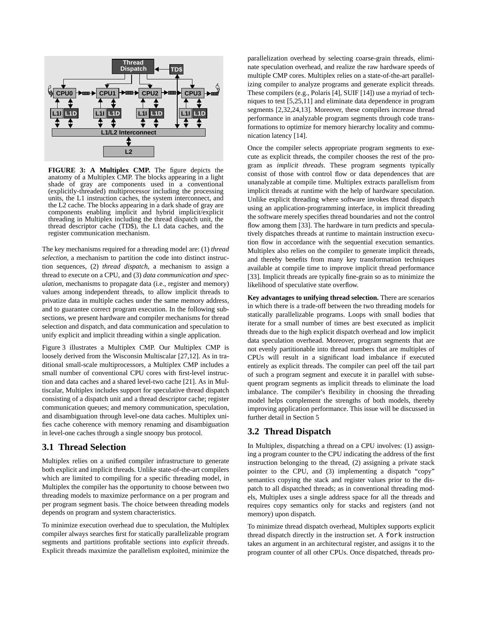

**FIGURE 3: A Multiplex CMP.** The figure depicts the anatomy of a Multiplex CMP. The blocks appearing in a light shade of gray are components used in a conventional (explicitly-threaded) multiprocessor including the processing units, the L1 instruction caches, the system interconnect, and the L2 cache. The blocks appearing in a dark shade of gray are components enabling implicit and hybrid implicit/explicit threading in Multiplex including the thread dispatch unit, the thread descriptor cache (TD\$), the L1 data caches, and the register communication mechanism.

The key mechanisms required for a threading model are: (1) *thread selection*, a mechanism to partition the code into distinct instruction sequences, (2) *thread dispatch*, a mechanism to assign a thread to execute on a CPU, and (3) *data communication and speculation*, mechanisms to propagate data (i.e., register and memory) values among independent threads, to allow implicit threads to privatize data in multiple caches under the same memory address, and to guarantee correct program execution. In the following subsections, we present hardware and compiler mechanisms for thread selection and dispatch, and data communication and speculation to unify explicit and implicit threading within a single application.

Figure 3 illustrates a Multiplex CMP. Our Multiplex CMP is loosely derived from the Wisconsin Multiscalar [27,12]. As in traditional small-scale multiprocessors, a Multiplex CMP includes a small number of conventional CPU cores with first-level instruction and data caches and a shared level-two cache [21]. As in Multiscalar, Multiplex includes support for speculative thread dispatch consisting of a dispatch unit and a thread descriptor cache; register communication queues; and memory communication, speculation, and disambiguation through level-one data caches. Multiplex unifies cache coherence with memory renaming and disambiguation in level-one caches through a single snoopy bus protocol.

#### **3.1 Thread Selection**

Multiplex relies on a unified compiler infrastructure to generate both explicit and implicit threads. Unlike state-of-the-art compilers which are limited to compiling for a specific threading model, in Multiplex the compiler has the opportunity to choose between two threading models to maximize performance on a per program and per program segment basis. The choice between threading models depends on program and system characteristics.

To minimize execution overhead due to speculation, the Multiplex compiler always searches first for statically parallelizable program segments and partitions profitable sections into *explicit threads*. Explicit threads maximize the parallelism exploited, minimize the

parallelization overhead by selecting coarse-grain threads, eliminate speculation overhead, and realize the raw hardware speeds of multiple CMP cores. Multiplex relies on a state-of-the-art parallelizing compiler to analyze programs and generate explicit threads. These compilers (e.g., Polaris [4], SUIF [14]) use a myriad of techniques to test [5,25,11] and eliminate data dependence in program segments [2,32,24,13]. Moreover, these compilers increase thread performance in analyzable program segments through code transformations to optimize for memory hierarchy locality and communication latency [14].

Once the compiler selects appropriate program segments to execute as explicit threads, the compiler chooses the rest of the program as *implicit threads*. These program segments typically consist of those with control flow or data dependences that are unanalyzable at compile time. Multiplex extracts parallelism from implicit threads at runtime with the help of hardware speculation. Unlike explicit threading where software invokes thread dispatch using an application-programming interface, in implicit threading the software merely specifies thread boundaries and not the control flow among them [33]. The hardware in turn predicts and speculatively dispatches threads at runtime to maintain instruction execution flow in accordance with the sequential execution semantics. Multiplex also relies on the compiler to generate implicit threads, and thereby benefits from many key transformation techniques available at compile time to improve implicit thread performance [33]. Implicit threads are typically fine-grain so as to minimize the likelihood of speculative state overflow.

**Key advantages to unifying thread selection.** There are scenarios in which there is a trade-off between the two threading models for statically parallelizable programs. Loops with small bodies that iterate for a small number of times are best executed as implicit threads due to the high explicit dispatch overhead and low implicit data speculation overhead. Moreover, program segments that are not evenly partitionable into thread numbers that are multiples of CPUs will result in a significant load imbalance if executed entirely as explicit threads. The compiler can peel off the tail part of such a program segment and execute it in parallel with subsequent program segments as implicit threads to eliminate the load imbalance. The compiler's flexibility in choosing the threading model helps complement the strengths of both models, thereby improving application performance. This issue will be discussed in further detail in Section 5

#### **3.2 Thread Dispatch**

In Multiplex, dispatching a thread on a CPU involves: (1) assigning a program counter to the CPU indicating the address of the first instruction belonging to the thread, (2) assigning a private stack pointer to the CPU, and (3) implementing a dispatch "copy" semantics copying the stack and register values prior to the dispatch to all dispatched threads; as in conventional threading models, Multiplex uses a single address space for all the threads and requires copy semantics only for stacks and registers (and not memory) upon dispatch.

To minimize thread dispatch overhead, Multiplex supports explicit thread dispatch directly in the instruction set. A fork instruction takes an argument in an architectural register, and assigns it to the program counter of all other CPUs. Once dispatched, threads pro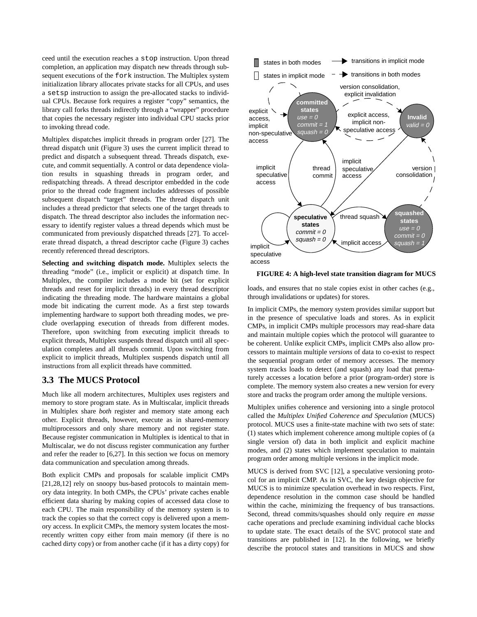ceed until the execution reaches a stop instruction. Upon thread completion, an application may dispatch new threads through subsequent executions of the fork instruction. The Multiplex system initialization library allocates private stacks for all CPUs, and uses a setsp instruction to assign the pre-allocated stacks to individual CPUs. Because fork requires a register "copy" semantics, the library call forks threads indirectly through a "wrapper" procedure that copies the necessary register into individual CPU stacks prior to invoking thread code.

Multiplex dispatches implicit threads in program order [27]. The thread dispatch unit (Figure 3) uses the current implicit thread to predict and dispatch a subsequent thread. Threads dispatch, execute, and commit sequentially. A control or data dependence violation results in squashing threads in program order, and redispatching threads. A thread descriptor embedded in the code prior to the thread code fragment includes addresses of possible subsequent dispatch "target" threads. The thread dispatch unit includes a thread predictor that selects one of the target threads to dispatch. The thread descriptor also includes the information necessary to identify register values a thread depends which must be communicated from previously dispatched threads [27]. To accelerate thread dispatch, a thread descriptor cache (Figure 3) caches recently referenced thread descriptors.

**Selecting and switching dispatch mode.** Multiplex selects the threading "mode" (i.e., implicit or explicit) at dispatch time. In Multiplex, the compiler includes a mode bit (set for explicit threads and reset for implicit threads) in every thread descriptor indicating the threading mode. The hardware maintains a global mode bit indicating the current mode. As a first step towards implementing hardware to support both threading modes, we preclude overlapping execution of threads from different modes. Therefore, upon switching from executing implicit threads to explicit threads, Multiplex suspends thread dispatch until all speculation completes and all threads commit. Upon switching from explicit to implicit threads, Multiplex suspends dispatch until all instructions from all explicit threads have committed.

#### **3.3 The MUCS Protocol**

Much like all modern architectures, Multiplex uses registers and memory to store program state. As in Multiscalar, implicit threads in Multiplex share *both* register and memory state among each other. Explicit threads, however, execute as in shared-memory multiprocessors and only share memory and not register state. Because register communication in Multiplex is identical to that in Multiscalar, we do not discuss register communication any further and refer the reader to [6,27]. In this section we focus on memory data communication and speculation among threads.

Both explicit CMPs and proposals for scalable implicit CMPs [21,28,12] rely on snoopy bus-based protocols to maintain memory data integrity. In both CMPs, the CPUs' private caches enable efficient data sharing by making copies of accessed data close to each CPU. The main responsibility of the memory system is to track the copies so that the correct copy is delivered upon a memory access. In explicit CMPs, the memory system locates the mostrecently written copy either from main memory (if there is no cached dirty copy) or from another cache (if it has a dirty copy) for



**FIGURE 4: A high-level state transition diagram for MUCS**

loads, and ensures that no stale copies exist in other caches (e.g., through invalidations or updates) for stores.

In implicit CMPs, the memory system provides similar support but in the presence of speculative loads and stores. As in explicit CMPs, in implicit CMPs multiple processors may read-share data and maintain multiple copies which the protocol will guarantee to be coherent. Unlike explicit CMPs, implicit CMPs also allow processors to maintain multiple *versions* of data to co-exist to respect the sequential program order of memory accesses. The memory system tracks loads to detect (and squash) any load that prematurely accesses a location before a prior (program-order) store is complete. The memory system also creates a new version for every store and tracks the program order among the multiple versions.

Multiplex unifies coherence and versioning into a single protocol called the *Multiplex Unified Coherence and Speculation* (MUCS) protocol. MUCS uses a finite-state machine with two sets of state: (1) states which implement coherence among multiple copies of (a single version of) data in both implicit and explicit machine modes, and (2) states which implement speculation to maintain program order among multiple versions in the implicit mode.

MUCS is derived from SVC [12], a speculative versioning protocol for an implicit CMP. As in SVC, the key design objective for MUCS is to minimize speculation overhead in two respects. First, dependence resolution in the common case should be handled within the cache, minimizing the frequency of bus transactions. Second, thread commits/squashes should only require *en masse* cache operations and preclude examining individual cache blocks to update state. The exact details of the SVC protocol state and transitions are published in [12]. In the following, we briefly describe the protocol states and transitions in MUCS and show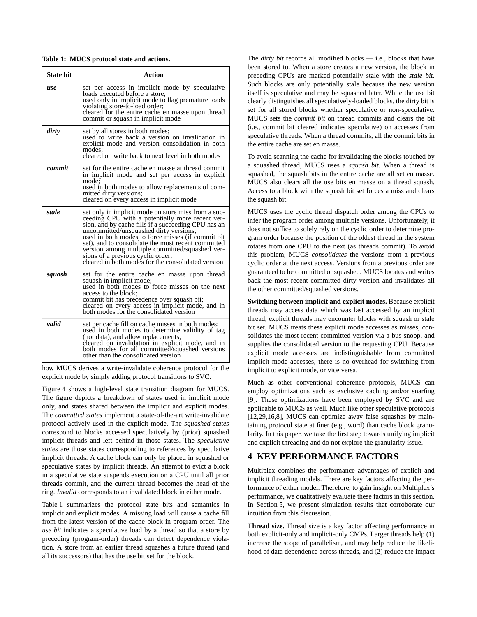**Table 1: MUCS protocol state and actions.**

| <b>State bit</b> | <b>Action</b>                                                                                                                                                                                                                                                                                                                                                                                                                                                   |
|------------------|-----------------------------------------------------------------------------------------------------------------------------------------------------------------------------------------------------------------------------------------------------------------------------------------------------------------------------------------------------------------------------------------------------------------------------------------------------------------|
| use              | set per access in implicit mode by speculative<br>loads executed before a store;<br>used only in implicit mode to flag premature loads<br>violating store-to-load order;<br>cleared for the entire cache en masse upon thread<br>commit or squash in implicit mode                                                                                                                                                                                              |
| dirty            | set by all stores in both modes;<br>used to write back a version on invalidation in<br>explicit mode and version consolidation in both<br>modes:<br>cleared on write back to next level in both modes                                                                                                                                                                                                                                                           |
| commit           | set for the entire cache en masse at thread commit<br>in implicit mode and set per access in explicit<br>mode;<br>used in both modes to allow replacements of com-<br>mitted dirty versions;<br>cleared on every access in implicit mode                                                                                                                                                                                                                        |
| stale            | set only in implicit mode on store miss from a suc-<br>ceeding CPU with a potentially more recent ver-<br>sion, and by cache fills if a succeeding CPU has an<br>uncommitted/unsquashed dirty versions;<br>used in both modes to force misses (if commit bit<br>set), and to consolidate the most recent committed<br>version among multiple committed/squashed ver-<br>sions of a previous cyclic order;<br>cleared in both modes for the consolidated version |
| squash           | set for the entire cache en masse upon thread<br>squash in implicit mode;<br>used in both modes to force misses on the next<br>access to the block;<br>commit bit has precedence over squash bit;<br>cleared on every access in implicit mode, and in<br>both modes for the consolidated version                                                                                                                                                                |
| valid            | set per cache fill on cache misses in both modes;<br>used in both modes to determine validity of tag<br>(not data), and allow replacements;<br>cleared on invalidation in explicit mode, and in<br>both modes for all committed/squashed versions<br>other than the consolidated version                                                                                                                                                                        |

how MUCS derives a write-invalidate coherence protocol for the explicit mode by simply adding protocol transitions to SVC.

Figure 4 shows a high-level state transition diagram for MUCS. The figure depicts a breakdown of states used in implicit mode only, and states shared between the implicit and explicit modes. The *committed states* implement a state-of-the-art write-invalidate protocol actively used in the explicit mode. The *squashed states* correspond to blocks accessed speculatively by (prior) squashed implicit threads and left behind in those states. The *speculative states* are those states corresponding to references by speculative implicit threads. A cache block can only be placed in squashed or speculative states by implicit threads. An attempt to evict a block in a speculative state suspends execution on a CPU until all prior threads commit, and the current thread becomes the head of the ring. *Invalid* corresponds to an invalidated block in either mode.

Table 1 summarizes the protocol state bits and semantics in implicit and explicit modes. A missing load will cause a cache fill from the latest version of the cache block in program order. The *use bit* indicates a speculative load by a thread so that a store by preceding (program-order) threads can detect dependence violation. A store from an earlier thread squashes a future thread (and all its successors) that has the use bit set for the block.

The *dirty bit* records all modified blocks — i.e., blocks that have been stored to. When a store creates a new version, the block in preceding CPUs are marked potentially stale with the *stale bit*. Such blocks are only potentially stale because the new version itself is speculative and may be squashed later. While the use bit clearly distinguishes all speculatively-loaded blocks, the dirty bit is set for all stored blocks whether speculative or non-speculative. MUCS sets the *commit bit* on thread commits and clears the bit (i.e., commit bit cleared indicates speculative) on accesses from speculative threads. When a thread commits, all the commit bits in the entire cache are set en masse.

To avoid scanning the cache for invalidating the blocks touched by a squashed thread, MUCS uses a *squash bit*. When a thread is squashed, the squash bits in the entire cache are all set en masse. MUCS also clears all the use bits en masse on a thread squash. Access to a block with the squash bit set forces a miss and clears the squash bit.

MUCS uses the cyclic thread dispatch order among the CPUs to infer the program order among multiple versions. Unfortunately, it does not suffice to solely rely on the cyclic order to determine program order because the position of the oldest thread in the system rotates from one CPU to the next (as threads commit). To avoid this problem, MUCS *consolidates* the versions from a previous cyclic order at the next access. Versions from a previous order are guaranteed to be committed or squashed. MUCS locates and writes back the most recent committed dirty version and invalidates all the other committed/squashed versions.

**Switching between implicit and explicit modes.** Because explicit threads may access data which was last accessed by an implicit thread, explicit threads may encounter blocks with squash or stale bit set. MUCS treats these explicit mode accesses as misses, consolidates the most recent committed version via a bus snoop, and supplies the consolidated version to the requesting CPU. Because explicit mode accesses are indistinguishable from committed implicit mode accesses, there is no overhead for switching from implicit to explicit mode, or vice versa.

Much as other conventional coherence protocols, MUCS can employ optimizations such as exclusive caching and/or snarfing [9]. These optimizations have been employed by SVC and are applicable to MUCS as well. Much like other speculative protocols [12,29,16,8], MUCS can optimize away false squashes by maintaining protocol state at finer (e.g., word) than cache block granularity. In this paper, we take the first step towards unifying implicit and explicit threading and do not explore the granularity issue.

# **4 KEY PERFORMANCE FACTORS**

Multiplex combines the performance advantages of explicit and implicit threading models. There are key factors affecting the performance of either model. Therefore, to gain insight on Multiplex's performance, we qualitatively evaluate these factors in this section. In Section 5, we present simulation results that corroborate our intuition from this discussion.

**Thread size.** Thread size is a key factor affecting performance in both explicit-only and implicit-only CMPs. Larger threads help (1) increase the scope of parallelism, and may help reduce the likelihood of data dependence across threads, and (2) reduce the impact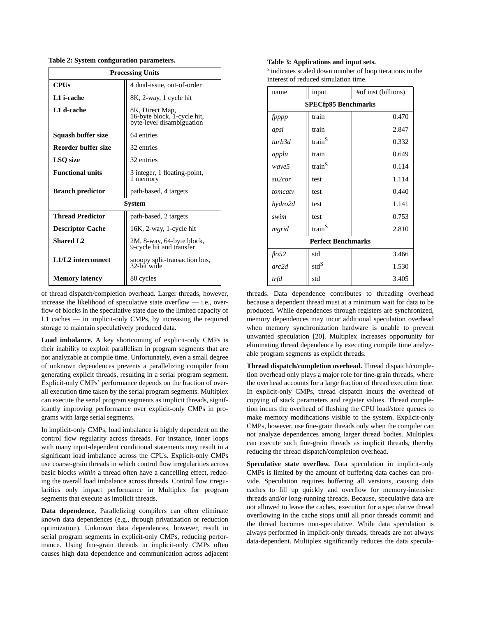**Table 2: System configuration parameters.**

| <b>Processing Units</b>                          |                                                                             |  |  |  |  |  |
|--------------------------------------------------|-----------------------------------------------------------------------------|--|--|--|--|--|
| <b>CPUs</b>                                      | 4 dual-issue, out-of-order                                                  |  |  |  |  |  |
| L1 i-cache                                       | 8K, 2-way, 1 cycle hit                                                      |  |  |  |  |  |
| L1 d-cache                                       | 8K, Direct Map,<br>16-byte block, 1-cycle hit,<br>byte-level disambiguation |  |  |  |  |  |
| Squash buffer size                               | 64 entries                                                                  |  |  |  |  |  |
| Reorder buffer size                              | 32 entries                                                                  |  |  |  |  |  |
| <b>LSQ</b> size                                  | 32 entries                                                                  |  |  |  |  |  |
| <b>Functional units</b>                          | 3 integer, 1 floating-point,<br>1 memory                                    |  |  |  |  |  |
| <b>Branch predictor</b>                          | path-based, 4 targets                                                       |  |  |  |  |  |
|                                                  | System                                                                      |  |  |  |  |  |
| <b>Thread Predictor</b><br>path-based, 2 targets |                                                                             |  |  |  |  |  |
| <b>Descriptor Cache</b>                          | 16K, 2-way, 1-cycle hit                                                     |  |  |  |  |  |
| <b>Shared L2</b>                                 | 2M, 8-way, 64-byte block,<br>9-cycle hit and transfer                       |  |  |  |  |  |
| L1/L2 interconnect                               | snoopy split-transaction bus,<br>32-bit wide                                |  |  |  |  |  |
| <b>Memory latency</b>                            | 80 cycles                                                                   |  |  |  |  |  |

of thread dispatch/completion overhead. Larger threads, however, increase the likelihood of speculative state overflow — i.e., overflow of blocks in the speculative state due to the limited capacity of L1 caches — in implicit-only CMPs, by increasing the required storage to maintain speculatively produced data.

**Load imbalance.** A key shortcoming of explicit-only CMPs is their inability to exploit parallelism in program segments that are not analyzable at compile time. Unfortunately, even a small degree of unknown dependences prevents a parallelizing compiler from generating explicit threads, resulting in a serial program segment. Explicit-only CMPs' performance depends on the fraction of overall execution time taken by the serial program segments. Multiplex can execute the serial program segments as implicit threads, significantly improving performance over explicit-only CMPs in programs with large serial segments.

In implicit-only CMPs, load imbalance is highly dependent on the control flow regularity across threads. For instance, inner loops with many input-dependent conditional statements may result in a significant load imbalance across the CPUs. Explicit-only CMPs use coarse-grain threads in which control flow irregularities across basic blocks *within* a thread often have a cancelling effect, reducing the overall load imbalance across threads. Control flow irregularities only impact performance in Multiplex for program segments that execute as implicit threads.

**Data dependence.** Parallelizing compilers can often eliminate known data dependences (e.g., through privatization or reduction optimization). Unknown data dependences, however, result in serial program segments in explicit-only CMPs, reducing performance. Using fine-grain threads in implicit-only CMPs often causes high data dependence and communication across adjacent

#### **Table 3: Applications and input sets.**

<sup>S</sup> indicates scaled down number of loop iterations in the interest of reduced simulation time.

| name                       | input              | #of inst (billions) |  |  |  |  |  |  |
|----------------------------|--------------------|---------------------|--|--|--|--|--|--|
| <b>SPECfp95 Benchmarks</b> |                    |                     |  |  |  |  |  |  |
| fpppp                      | train              | 0.470               |  |  |  |  |  |  |
| apsi                       | train              | 2.847               |  |  |  |  |  |  |
| turb3d                     | train <sup>S</sup> | 0.332               |  |  |  |  |  |  |
| applu                      | train              | 0.649               |  |  |  |  |  |  |
| wave5                      | train <sup>S</sup> | 0.114               |  |  |  |  |  |  |
| su2cor                     | test               | 1.114               |  |  |  |  |  |  |
| tomcaty                    | test               | 0.440               |  |  |  |  |  |  |
| hydro2d                    | test               | 1.141               |  |  |  |  |  |  |
| swim                       | test               | 0.753               |  |  |  |  |  |  |
| mgrid                      | train <sup>S</sup> | 2.810               |  |  |  |  |  |  |
| <b>Perfect Benchmarks</b>  |                    |                     |  |  |  |  |  |  |
| $f \cdot 652$              | std                | 3.466               |  |  |  |  |  |  |
| arc2d                      | std <sup>S</sup>   | 1.530               |  |  |  |  |  |  |
| trfd                       | std                | 3.405               |  |  |  |  |  |  |

threads. Data dependence contributes to threading overhead because a dependent thread must at a minimum wait for data to be produced. While dependences through registers are synchronized, memory dependences may incur additional speculation overhead when memory synchronization hardware is unable to prevent unwanted speculation [20]. Multiplex increases opportunity for eliminating thread dependence by executing compile time analyzable program segments as explicit threads.

**Thread dispatch/completion overhead.** Thread dispatch/completion overhead only plays a major role for fine-grain threads, where the overhead accounts for a large fraction of thread execution time. In explicit-only CMPs, thread dispatch incurs the overhead of copying of stack parameters and register values. Thread completion incurs the overhead of flushing the CPU load/store queues to make memory modifications visible to the system. Explicit-only CMPs, however, use fine-grain threads only when the compiler can not analyze dependences among larger thread bodies. Multiplex can execute such fine-grain threads as implicit threads, thereby reducing the thread dispatch/completion overhead.

**Speculative state overflow.** Data speculation in implicit-only CMPs is limited by the amount of buffering data caches can provide. Speculation requires buffering all versions, causing data caches to fill up quickly and overflow for memory-intensive threads and/or long-running threads. Because, speculative data are not allowed to leave the caches, execution for a speculative thread overflowing in the cache stops until all prior threads commit and the thread becomes non-speculative. While data speculation is always performed in implicit-only threads, threads are not always data-dependent. Multiplex significantly reduces the data specula-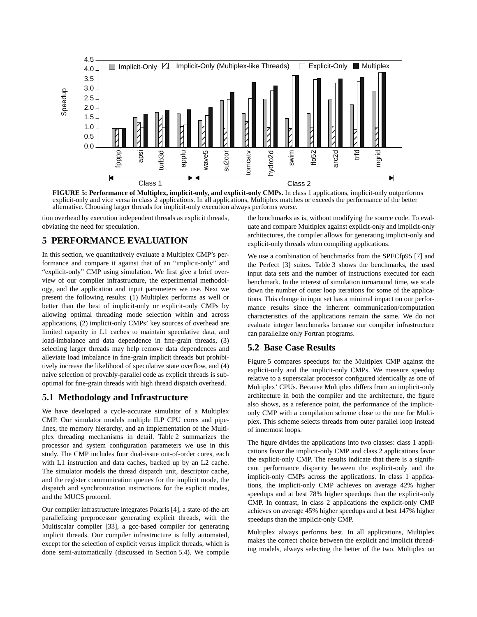

**FIGURE 5: Performance of Multiplex, implicit-only, and explicit-only CMPs.** In class 1 applications, implicit-only outperforms explicit-only and vice versa in class 2 applications. In all applications, Multiplex matches or exceeds the performance of the better

tion overhead by execution independent threads as explicit threads, obviating the need for speculation.

#### **5 PERFORMANCE EVALUATION**

In this section, we quantitatively evaluate a Multiplex CMP's performance and compare it against that of an "implicit-only" and "explicit-only" CMP using simulation. We first give a brief overview of our compiler infrastructure, the experimental methodology, and the application and input parameters we use. Next we present the following results: (1) Multiplex performs as well or better than the best of implicit-only or explicit-only CMPs by allowing optimal threading mode selection within and across applications, (2) implicit-only CMPs' key sources of overhead are limited capacity in L1 caches to maintain speculative data, and load-imbalance and data dependence in fine-grain threads, (3) selecting larger threads may help remove data dependences and alleviate load imbalance in fine-grain implicit threads but prohibitively increase the likelihood of speculative state overflow, and (4) naive selection of provably-parallel code as explicit threads is suboptimal for fine-grain threads with high thread dispatch overhead.

#### **5.1 Methodology and Infrastructure**

We have developed a cycle-accurate simulator of a Multiplex CMP. Our simulator models multiple ILP CPU cores and pipelines, the memory hierarchy, and an implementation of the Multiplex threading mechanisms in detail. Table 2 summarizes the processor and system configuration parameters we use in this study. The CMP includes four dual-issue out-of-order cores, each with L1 instruction and data caches, backed up by an L2 cache. The simulator models the thread dispatch unit, descriptor cache, and the register communication queues for the implicit mode, the dispatch and synchronization instructions for the explicit modes, and the MUCS protocol.

Our compiler infrastructure integrates Polaris [4], a state-of-the-art parallelizing preprocessor generating explicit threads, with the Multiscalar compiler [33], a gcc-based compiler for generating implicit threads. Our compiler infrastructure is fully automated, except for the selection of explicit versus implicit threads, which is done semi-automatically (discussed in Section 5.4). We compile

the benchmarks as is, without modifying the source code. To evaluate and compare Multiplex against explicit-only and implicit-only architectures, the compiler allows for generating implicit-only and explicit-only threads when compiling applications.

We use a combination of benchmarks from the SPECfp95 [7] and the Perfect [3] suites. Table 3 shows the benchmarks, the used input data sets and the number of instructions executed for each benchmark. In the interest of simulation turnaround time, we scale down the number of outer loop iterations for some of the applications. This change in input set has a minimal impact on our performance results since the inherent communication/computation characteristics of the applications remain the same. We do not evaluate integer benchmarks because our compiler infrastructure can parallelize only Fortran programs.

#### **5.2 Base Case Results**

Figure 5 compares speedups for the Multiplex CMP against the explicit-only and the implicit-only CMPs. We measure speedup relative to a superscalar processor configured identically as one of Multiplex' CPUs. Because Multiplex differs from an implicit-only architecture in both the compiler and the architecture, the figure also shows, as a reference point, the performance of the implicitonly CMP with a compilation scheme close to the one for Multiplex. This scheme selects threads from outer parallel loop instead of innermost loops.

The figure divides the applications into two classes: class 1 applications favor the implicit-only CMP and class 2 applications favor the explicit-only CMP. The results indicate that there is a significant performance disparity between the explicit-only and the implicit-only CMPs across the applications. In class 1 applications, the implicit-only CMP achieves on average 42% higher speedups and at best 78% higher speedups than the explicit-only CMP. In contrast, in class 2 applications the explicit-only CMP achieves on average 45% higher speedups and at best 147% higher speedups than the implicit-only CMP.

Multiplex always performs best. In all applications, Multiplex makes the correct choice between the explicit and implicit threading models, always selecting the better of the two. Multiplex on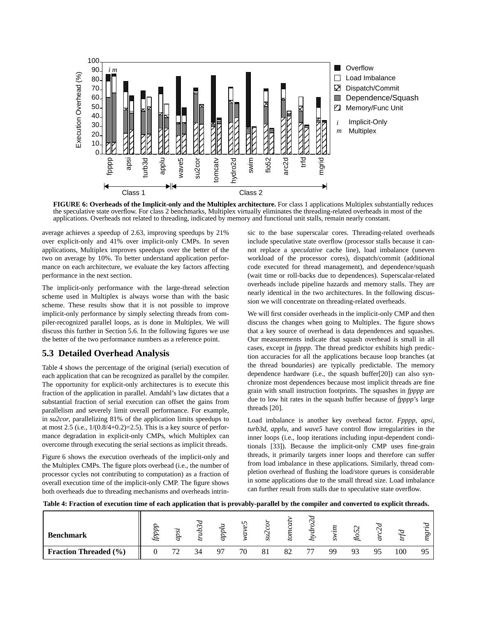

**FIGURE 6: Overheads of the Implicit-only and the Multiplex architecture.** For class 1 applications Multiplex substantially reduces the speculative state overflow. For class 2 benchmarks, Multiplex virtually eliminates the threading-related overheads in most of the applications. Overheads not related to threading, indicated by memory and functional unit stalls, remain nearly constant.

average achieves a speedup of 2.63, improving speedups by 21% over explicit-only and 41% over implicit-only CMPs. In seven applications, Multiplex improves speedups over the better of the two on average by 10%. To better understand application performance on each architecture, we evaluate the key factors affecting performance in the next section.

The implicit-only performance with the large-thread selection scheme used in Multiplex is always worse than with the basic scheme. These results show that it is not possible to improve implicit-only performance by simply selecting threads from compiler-recognized parallel loops, as is done in Multiplex. We will discuss this further in Section 5.6. In the following figures we use the better of the two performance numbers as a reference point.

## **5.3 Detailed Overhead Analysis**

Table 4 shows the percentage of the original (serial) execution of each application that can be recognized as parallel by the compiler. The opportunity for explicit-only architectures is to execute this fraction of the application in parallel. Amdahl's law dictates that a substantial fraction of serial execution can offset the gains from parallelism and severely limit overall performance. For example, in *su2cor*, parallelizing 81% of the application limits speedups to at most 2.5 (i.e.,  $1/(0.8/4+0.2)=2.5$ ). This is a key source of performance degradation in explicit-only CMPs, which Multiplex can overcome through executing the serial sections as implicit threads.

Figure 6 shows the execution overheads of the implicit-only and the Multiplex CMPs. The figure plots overhead (i.e., the number of processor cycles not contributing to computation) as a fraction of overall execution time of the implicit-only CMP. The figure shows both overheads due to threading mechanisms and overheads intrin-

sic to the base superscalar cores. Threading-related overheads include speculative state overflow (processor stalls because it cannot replace a *speculative* cache line), load imbalance (uneven workload of the processor cores), dispatch/commit (additional code executed for thread management), and dependence/squash (wait time or roll-backs due to dependences). Superscalar-related overheads include pipeline hazards and memory stalls. They are nearly identical in the two architectures. In the following discussion we will concentrate on threading-related overheads.

We will first consider overheads in the implicit-only CMP and then discuss the changes when going to Multiplex. The figure shows that a key source of overhead is data dependences and squashes. Our measurements indicate that squash overhead is small in all cases, except in *fpppp*. The thread predictor exhibits high prediction accuracies for all the applications because loop branches (at the thread boundaries) are typically predictable. The memory dependence hardware (i.e., the squash buffer[20]) can also synchronize most dependences because most implicit threads are fine grain with small instruction footprints. The squashes in *fpppp* are due to low hit rates in the squash buffer because of *fpppp*'s large threads [20].

Load imbalance is another key overhead factor. *Fpppp*, *apsi*, *turb3d*, *applu*, and *wave5* have control flow irregularities in the inner loops (i.e., loop iterations including input-dependent conditionals [33]). Because the implicit-only CMP uses fine-grain threads, it primarily targets inner loops and therefore can suffer from load imbalance in these applications. Similarly, thread completion overhead of flushing the load/store queues is considerable in some applications due to the small thread size. Load imbalance can further result from stalls due to speculative state overflow.

**Table 4: Fraction of execution time of each application that is provably-parallel by the compiler and converted to explicit threads.**

| <b>Benchmark</b>             |    | $\widetilde{\phantom{a}}$ | z  | ١r |    |    |    |    | $\sim$ |    |     | ೲ  |
|------------------------------|----|---------------------------|----|----|----|----|----|----|--------|----|-----|----|
| <b>Fraction Threaded (%)</b> | 70 | 34                        | Q7 | 70 | 81 | 82 | 77 | QQ | Q2     | 95 | 100 | 95 |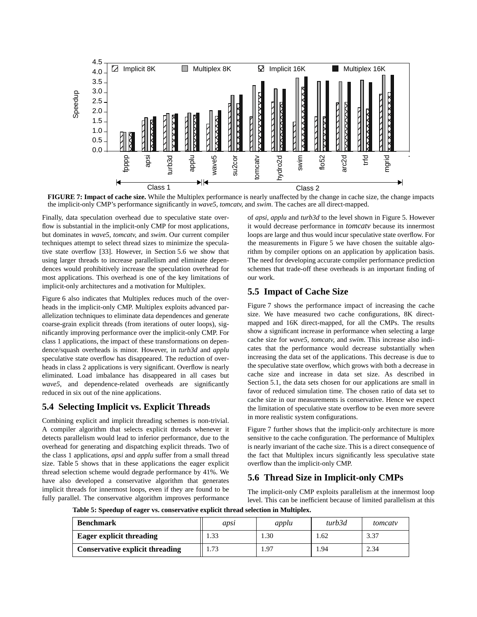

**FIGURE 7: Impact of cache size.** While the Multiplex performance is nearly unaffected by the change in cache size, the change impacts the implicit-only CMP's performance significantly in *wave5, tomcatv*, and *swim*. The

Finally, data speculation overhead due to speculative state overflow is substantial in the implicit-only CMP for most applications, but dominates in *wave5*, *tomcatv,* and *swim*. Our current compiler techniques attempt to select thread sizes to minimize the speculative state overflow [33]. However, in Section 5.6 we show that using larger threads to increase parallelism and eliminate dependences would prohibitively increase the speculation overhead for most applications. This overhead is one of the key limitations of implicit-only architectures and a motivation for Multiplex.

Figure 6 also indicates that Multiplex reduces much of the overheads in the implicit-only CMP. Multiplex exploits advanced parallelization techniques to eliminate data dependences and generate coarse-grain explicit threads (from iterations of outer loops), significantly improving performance over the implicit-only CMP. For class 1 applications, the impact of these transformations on dependence/squash overheads is minor. However, in *turb3d* and *applu* speculative state overflow has disappeared. The reduction of overheads in class 2 applications is very significant. Overflow is nearly eliminated. Load imbalance has disappeared in all cases but *wave5*, and dependence-related overheads are significantly reduced in six out of the nine applications.

#### **5.4 Selecting Implicit vs. Explicit Threads**

Combining explicit and implicit threading schemes is non-trivial. A compiler algorithm that selects explicit threads whenever it detects parallelism would lead to inferior performance, due to the overhead for generating and dispatching explicit threads. Two of the class 1 applications, *apsi* and *applu* suffer from a small thread size. Table 5 shows that in these applications the eager explicit thread selection scheme would degrade performance by 41%. We have also developed a conservative algorithm that generates implicit threads for innermost loops, even if they are found to be fully parallel. The conservative algorithm improves performance

of *apsi*, *applu* and *turb3d* to the level shown in Figure 5. However it would decrease performance in *tomcatv* because its innermost loops are large and thus would incur speculative state overflow. For the measurements in Figure 5 we have chosen the suitable algorithm by compiler options on an application by application basis. The need for developing accurate compiler performance prediction schemes that trade-off these overheads is an important finding of our work.

## **5.5 Impact of Cache Size**

Figure 7 shows the performance impact of increasing the cache size. We have measured two cache configurations, 8K directmapped and 16K direct-mapped, for all the CMPs. The results show a significant increase in performance when selecting a large cache size for *wave5, tomcatv,* and *swim*. This increase also indicates that the performance would decrease substantially when increasing the data set of the applications. This decrease is due to the speculative state overflow, which grows with both a decrease in cache size and increase in data set size. As described in Section 5.1, the data sets chosen for our applications are small in favor of reduced simulation time. The chosen ratio of data set to cache size in our measurements is conservative. Hence we expect the limitation of speculative state overflow to be even more severe in more realistic system configurations.

Figure 7 further shows that the implicit-only architecture is more sensitive to the cache configuration. The performance of Multiplex is nearly invariant of the cache size. This is a direct consequence of the fact that Multiplex incurs significantly less speculative state overflow than the implicit-only CMP.

# **5.6 Thread Size in Implicit-only CMPs**

The implicit-only CMP exploits parallelism at the innermost loop level. This can be inefficient because of limited parallelism at this

**Table 5: Speedup of eager vs. conservative explicit thread selection in Multiplex.**

| <b>Benchmark</b>                       | apsi | applu | turb3d | tomcaty |
|----------------------------------------|------|-------|--------|---------|
| <b>Eager explicit threading</b>        |      | .30   | l.62   | 3.37    |
| <b>Conservative explicit threading</b> | 1.73 | .97   | 1.94   | 2.34    |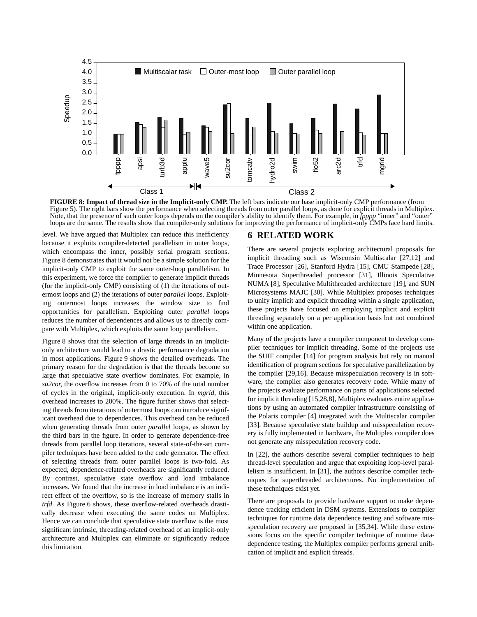

**FIGURE 8: Impact of thread size in the Implicit-only CMP.** The left bars indicate our base implicit-only CMP performance (from Figure 5). The right bars show the performance when selecting threads from outer parallel loops, as done for explicit threads in Multiplex. Note, that the presence of such outer loops depends on the compiler's ability to identify them. For example, in *fpppp* "inner" and "outer" loops are the same. The results show that compiler-only solutions for improving th

level. We have argued that Multiplex can reduce this inefficiency because it exploits compiler-detected parallelism in outer loops, which encompass the inner, possibly serial program sections. Figure 8 demonstrates that it would not be a simple solution for the implicit-only CMP to exploit the same outer-loop parallelism. In this experiment, we force the compiler to generate implicit threads (for the implicit-only CMP) consisting of (1) the iterations of outermost loops and (2) the iterations of outer *parallel* loops. Exploiting outermost loops increases the window size to find opportunities for parallelism. Exploiting outer *parallel* loops reduces the number of dependences and allows us to directly compare with Multiplex, which exploits the same loop parallelism.

Figure 8 shows that the selection of large threads in an implicitonly architecture would lead to a drastic performance degradation in most applications. Figure 9 shows the detailed overheads. The primary reason for the degradation is that the threads become so large that speculative state overflow dominates. For example, in *su2cor,* the overflow increases from 0 to 70% of the total number of cycles in the original, implicit-only execution. In *mgrid*, this overhead increases to 200%. The figure further shows that selecting threads from iterations of outermost loops can introduce significant overhead due to dependences. This overhead can be reduced when generating threads from outer *parallel* loops, as shown by the third bars in the figure. In order to generate dependence-free threads from parallel loop iterations, several state-of-the-art compiler techniques have been added to the code generator. The effect of selecting threads from outer parallel loops is two-fold. As expected, dependence-related overheads are significantly reduced. By contrast, speculative state overflow and load imbalance increases. We found that the increase in load imbalance is an indirect effect of the overflow, so is the increase of memory stalls in *trfd*. As Figure 6 shows, these overflow-related overheads drastically decrease when executing the same codes on Multiplex. Hence we can conclude that speculative state overflow is the most significant intrinsic, threading-related overhead of an implicit-only architecture and Multiplex can eliminate or significantly reduce this limitation.

#### **6 RELATED WORK**

There are several projects exploring architectural proposals for implicit threading such as Wisconsin Multiscalar [27,12] and Trace Processor [26], Stanford Hydra [15], CMU Stampede [28], Minnesota Superthreaded processor [31], Illinois Speculative NUMA [8], Speculative Multithreaded architecture [19], and SUN Microsystems MAJC [30]. While Multiplex proposes techniques to unify implicit and explicit threading within a single application, these projects have focused on employing implicit and explicit threading separately on a per application basis but not combined within one application.

Many of the projects have a compiler component to develop compiler techniques for implicit threading. Some of the projects use the SUIF compiler [14] for program analysis but rely on manual identification of program sections for speculative parallelization by the compiler [29,16]. Because misspeculation recovery is in software, the compiler also generates recovery code. While many of the projects evaluate performance on parts of applications selected for implicit threading [15,28,8], Multiplex evaluates entire applications by using an automated compiler infrastructure consisting of the Polaris compiler [4] integrated with the Multiscalar compiler [33]. Because speculative state buildup and misspeculation recovery is fully implemented in hardware, the Multiplex compiler does not generate any misspeculation recovery code.

In [22], the authors describe several compiler techniques to help thread-level speculation and argue that exploiting loop-level parallelism is insufficient. In [31], the authors describe compiler techniques for superthreaded architectures. No implementation of these techniques exist yet.

There are proposals to provide hardware support to make dependence tracking efficient in DSM systems. Extensions to compiler techniques for runtime data dependence testing and software misspeculation recovery are proposed in [35,34]. While these extensions focus on the specific compiler technique of runtime datadependence testing, the Multiplex compiler performs general unification of implicit and explicit threads.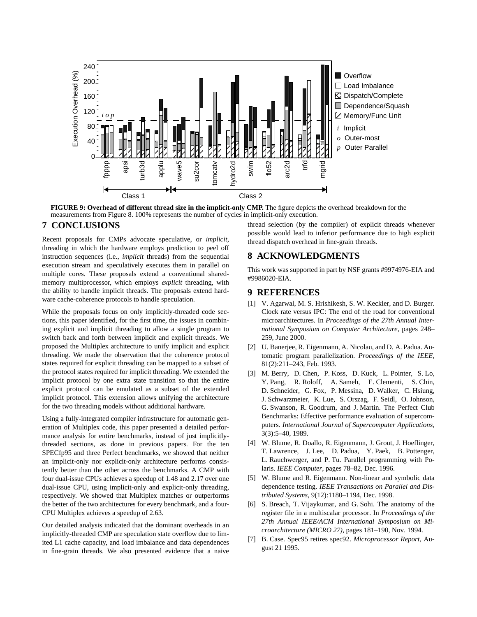

**FIGURE 9: Overhead of different thread size in the implicit-only CMP.** The figure depicts the overhead breakdown for the

#### **7 CONCLUSIONS**

Recent proposals for CMPs advocate speculative, or *implicit*, threading in which the hardware employs prediction to peel off instruction sequences (i.e., *implicit* threads) from the sequential execution stream and speculatively executes them in parallel on multiple cores. These proposals extend a conventional sharedmemory multiprocessor, which employs *explicit* threading, with the ability to handle implicit threads. The proposals extend hardware cache-coherence protocols to handle speculation.

While the proposals focus on only implicitly-threaded code sections, this paper identified, for the first time, the issues in combining explicit and implicit threading to allow a single program to switch back and forth between implicit and explicit threads. We proposed the Multiplex architecture to unify implicit and explicit threading. We made the observation that the coherence protocol states required for explicit threading can be mapped to a subset of the protocol states required for implicit threading. We extended the implicit protocol by one extra state transition so that the entire explicit protocol can be emulated as a subset of the extended implicit protocol. This extension allows unifying the architecture for the two threading models without additional hardware.

Using a fully-integrated compiler infrastructure for automatic generation of Multiplex code, this paper presented a detailed performance analysis for entire benchmarks, instead of just implicitlythreaded sections, as done in previous papers. For the ten SPECfp95 and three Perfect benchmarks, we showed that neither an implicit-only nor explicit-only architecture performs consistently better than the other across the benchmarks. A CMP with four dual-issue CPUs achieves a speedup of 1.48 and 2.17 over one dual-issue CPU, using implicit-only and explicit-only threading, respectively. We showed that Multiplex matches or outperforms the better of the two architectures for every benchmark, and a four-CPU Multiplex achieves a speedup of 2.63.

Our detailed analysis indicated that the dominant overheads in an implicitly-threaded CMP are speculation state overflow due to limited L1 cache capacity, and load imbalance and data dependences in fine-grain threads. We also presented evidence that a naive

thread selection (by the compiler) of explicit threads whenever possible would lead to inferior performance due to high explicit thread dispatch overhead in fine-grain threads.

#### **8 ACKNOWLEDGMENTS**

This work was supported in part by NSF grants #9974976-EIA and #9986020-EIA.

#### **9 REFERENCES**

- [1] V. Agarwal, M. S. Hrishikesh, S. W. Keckler, and D. Burger. Clock rate versus IPC: The end of the road for conventional microarchitectures. In *Proceedings of the 27th Annual International Symposium on Computer Architecture*, pages 248– 259, June 2000.
- [2] U. Banerjee, R. Eigenmann, A. Nicolau, and D. A. Padua. Automatic program parallelization. *Proceedings of the IEEE*, 81(2):211–243, Feb. 1993.
- [3] M. Berry, D. Chen, P. Koss, D. Kuck, L. Pointer, S. Lo, Y. Pang, R. Roloff, A. Sameh, E. Clementi, S. Chin, D. Schneider, G. Fox, P. Messina, D. Walker, C. Hsiung, J. Schwarzmeier, K. Lue, S. Orszag, F. Seidl, O. Johnson, G. Swanson, R. Goodrum, and J. Martin. The Perfect Club Benchmarks: Effective performance evaluation of supercomputers. *International Journal of Supercomputer Applications*, 3(3):5–40, 1989.
- [4] W. Blume, R. Doallo, R. Eigenmann, J. Grout, J. Hoeflinger, T. Lawrence, J. Lee, D. Padua, Y. Paek, B. Pottenger, L. Rauchwerger, and P. Tu. Parallel programming with Polaris. *IEEE Computer*, pages 78–82, Dec. 1996.
- [5] W. Blume and R. Eigenmann. Non-linear and symbolic data dependence testing. *IEEE Transactions on Parallel and Distributed Systems*, 9(12):1180–1194, Dec. 1998.
- [6] S. Breach, T. Vijaykumar, and G. Sohi. The anatomy of the register file in a multiscalar processor. In *Proceedings of the 27th Annual IEEE/ACM International Symposium on Microarchitecture (MICRO 27)*, pages 181–190, Nov. 1994.
- [7] B. Case. Spec95 retires spec92. *Microprocessor Report*, August 21 1995.